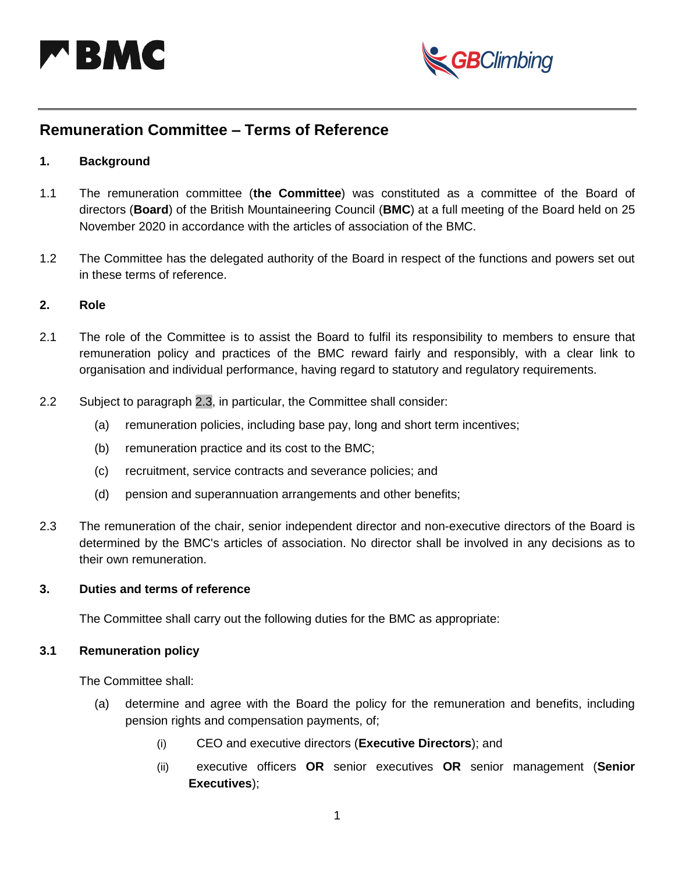



# **Remuneration Committee – Terms of Reference**

#### **1. Background**

- 1.1 The remuneration committee (**the Committee**) was constituted as a committee of the Board of directors (**Board**) of the British Mountaineering Council (**BMC**) at a full meeting of the Board held on 25 November 2020 in accordance with the articles of association of the BMC.
- 1.2 The Committee has the delegated authority of the Board in respect of the functions and powers set out in these terms of reference.

## **2. Role**

- 2.1 The role of the Committee is to assist the Board to fulfil its responsibility to members to ensure that remuneration policy and practices of the BMC reward fairly and responsibly, with a clear link to organisation and individual performance, having regard to statutory and regulatory requirements.
- 2.2 Subject to paragraph [2.3,](#page-0-0) in particular, the Committee shall consider:
	- (a) remuneration policies, including base pay, long and short term incentives;
	- (b) remuneration practice and its cost to the BMC;
	- (c) recruitment, service contracts and severance policies; and
	- (d) pension and superannuation arrangements and other benefits;
- <span id="page-0-0"></span>2.3 The remuneration of the chair, senior independent director and non-executive directors of the Board is determined by the BMC's articles of association. No director shall be involved in any decisions as to their own remuneration.

### **3. Duties and terms of reference**

The Committee shall carry out the following duties for the BMC as appropriate:

#### **3.1 Remuneration policy**

The Committee shall:

- (a) determine and agree with the Board the policy for the remuneration and benefits, including pension rights and compensation payments, of;
	- (i) CEO and executive directors (**Executive Directors**); and
	- (ii) executive officers **OR** senior executives **OR** senior management (**Senior Executives**);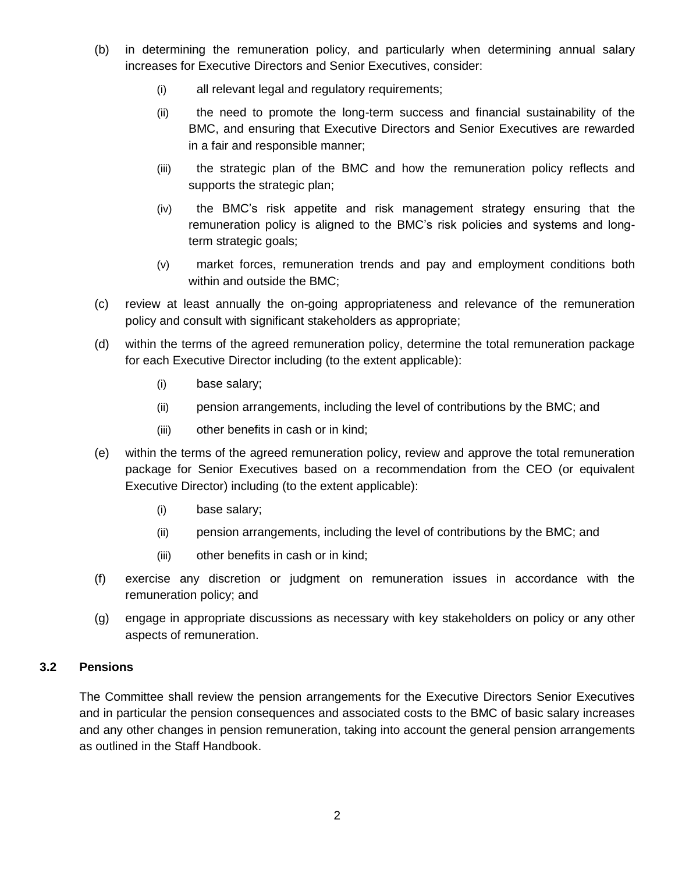- (b) in determining the remuneration policy, and particularly when determining annual salary increases for Executive Directors and Senior Executives, consider:
	- (i) all relevant legal and regulatory requirements;
	- (ii) the need to promote the long-term success and financial sustainability of the BMC, and ensuring that Executive Directors and Senior Executives are rewarded in a fair and responsible manner;
	- (iii) the strategic plan of the BMC and how the remuneration policy reflects and supports the strategic plan;
	- (iv) the BMC's risk appetite and risk management strategy ensuring that the remuneration policy is aligned to the BMC's risk policies and systems and longterm strategic goals;
	- (v) market forces, remuneration trends and pay and employment conditions both within and outside the BMC;
- (c) review at least annually the on-going appropriateness and relevance of the remuneration policy and consult with significant stakeholders as appropriate;
- (d) within the terms of the agreed remuneration policy, determine the total remuneration package for each Executive Director including (to the extent applicable):
	- (i) base salary;
	- (ii) pension arrangements, including the level of contributions by the BMC; and
	- (iii) other benefits in cash or in kind;
- (e) within the terms of the agreed remuneration policy, review and approve the total remuneration package for Senior Executives based on a recommendation from the CEO (or equivalent Executive Director) including (to the extent applicable):
	- (i) base salary;
	- (ii) pension arrangements, including the level of contributions by the BMC; and
	- (iii) other benefits in cash or in kind;
- (f) exercise any discretion or judgment on remuneration issues in accordance with the remuneration policy; and
- (g) engage in appropriate discussions as necessary with key stakeholders on policy or any other aspects of remuneration.

## **3.2 Pensions**

The Committee shall review the pension arrangements for the Executive Directors Senior Executives and in particular the pension consequences and associated costs to the BMC of basic salary increases and any other changes in pension remuneration, taking into account the general pension arrangements as outlined in the Staff Handbook.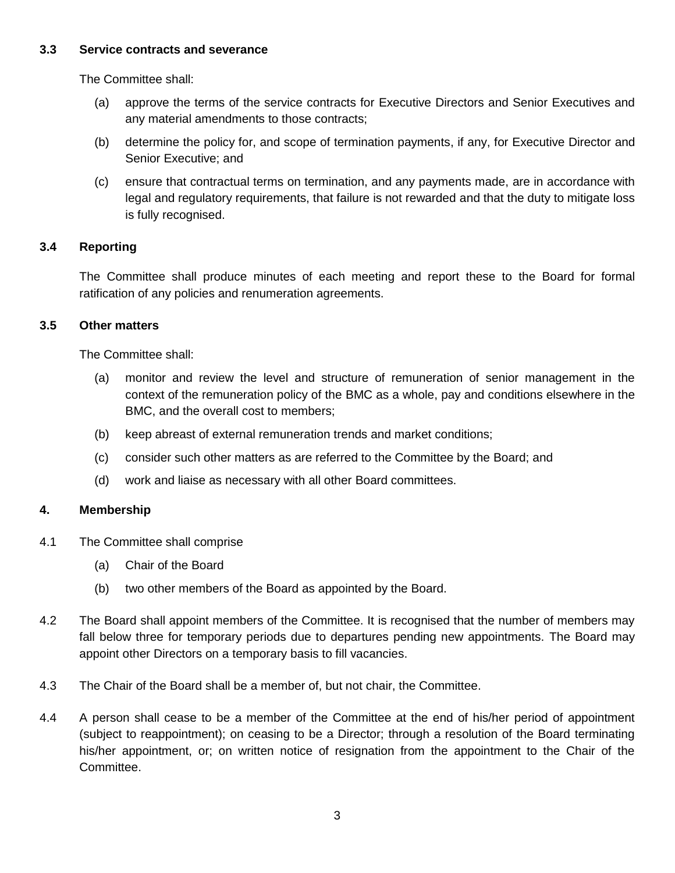## **3.3 Service contracts and severance**

The Committee shall:

- (a) approve the terms of the service contracts for Executive Directors and Senior Executives and any material amendments to those contracts;
- (b) determine the policy for, and scope of termination payments, if any, for Executive Director and Senior Executive; and
- (c) ensure that contractual terms on termination, and any payments made, are in accordance with legal and regulatory requirements, that failure is not rewarded and that the duty to mitigate loss is fully recognised.

## **3.4 Reporting**

The Committee shall produce minutes of each meeting and report these to the Board for formal ratification of any policies and renumeration agreements.

## **3.5 Other matters**

The Committee shall:

- (a) monitor and review the level and structure of remuneration of senior management in the context of the remuneration policy of the BMC as a whole, pay and conditions elsewhere in the BMC, and the overall cost to members;
- (b) keep abreast of external remuneration trends and market conditions;
- (c) consider such other matters as are referred to the Committee by the Board; and
- (d) work and liaise as necessary with all other Board committees.

## **4. Membership**

- 4.1 The Committee shall comprise
	- (a) Chair of the Board
	- (b) two other members of the Board as appointed by the Board.
- 4.2 The Board shall appoint members of the Committee. It is recognised that the number of members may fall below three for temporary periods due to departures pending new appointments. The Board may appoint other Directors on a temporary basis to fill vacancies.
- 4.3 The Chair of the Board shall be a member of, but not chair, the Committee.
- 4.4 A person shall cease to be a member of the Committee at the end of his/her period of appointment (subject to reappointment); on ceasing to be a Director; through a resolution of the Board terminating his/her appointment, or; on written notice of resignation from the appointment to the Chair of the Committee.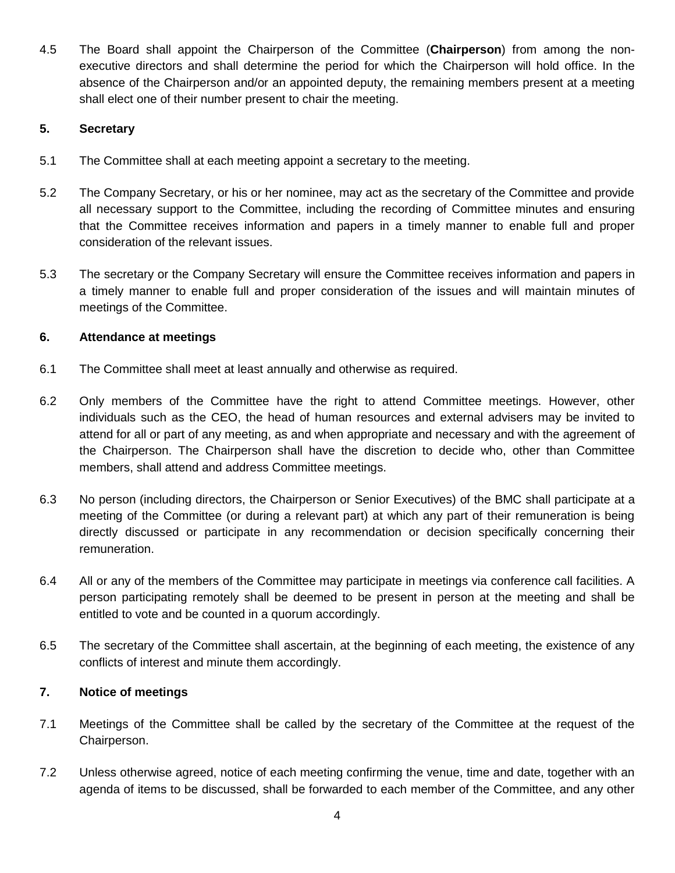4.5 The Board shall appoint the Chairperson of the Committee (**Chairperson**) from among the nonexecutive directors and shall determine the period for which the Chairperson will hold office. In the absence of the Chairperson and/or an appointed deputy, the remaining members present at a meeting shall elect one of their number present to chair the meeting.

## **5. Secretary**

- 5.1 The Committee shall at each meeting appoint a secretary to the meeting.
- 5.2 The Company Secretary, or his or her nominee, may act as the secretary of the Committee and provide all necessary support to the Committee, including the recording of Committee minutes and ensuring that the Committee receives information and papers in a timely manner to enable full and proper consideration of the relevant issues.
- 5.3 The secretary or the Company Secretary will ensure the Committee receives information and papers in a timely manner to enable full and proper consideration of the issues and will maintain minutes of meetings of the Committee.

## **6. Attendance at meetings**

- 6.1 The Committee shall meet at least annually and otherwise as required.
- 6.2 Only members of the Committee have the right to attend Committee meetings. However, other individuals such as the CEO, the head of human resources and external advisers may be invited to attend for all or part of any meeting, as and when appropriate and necessary and with the agreement of the Chairperson. The Chairperson shall have the discretion to decide who, other than Committee members, shall attend and address Committee meetings.
- 6.3 No person (including directors, the Chairperson or Senior Executives) of the BMC shall participate at a meeting of the Committee (or during a relevant part) at which any part of their remuneration is being directly discussed or participate in any recommendation or decision specifically concerning their remuneration.
- 6.4 All or any of the members of the Committee may participate in meetings via conference call facilities. A person participating remotely shall be deemed to be present in person at the meeting and shall be entitled to vote and be counted in a quorum accordingly.
- 6.5 The secretary of the Committee shall ascertain, at the beginning of each meeting, the existence of any conflicts of interest and minute them accordingly.

## **7. Notice of meetings**

- 7.1 Meetings of the Committee shall be called by the secretary of the Committee at the request of the Chairperson.
- 7.2 Unless otherwise agreed, notice of each meeting confirming the venue, time and date, together with an agenda of items to be discussed, shall be forwarded to each member of the Committee, and any other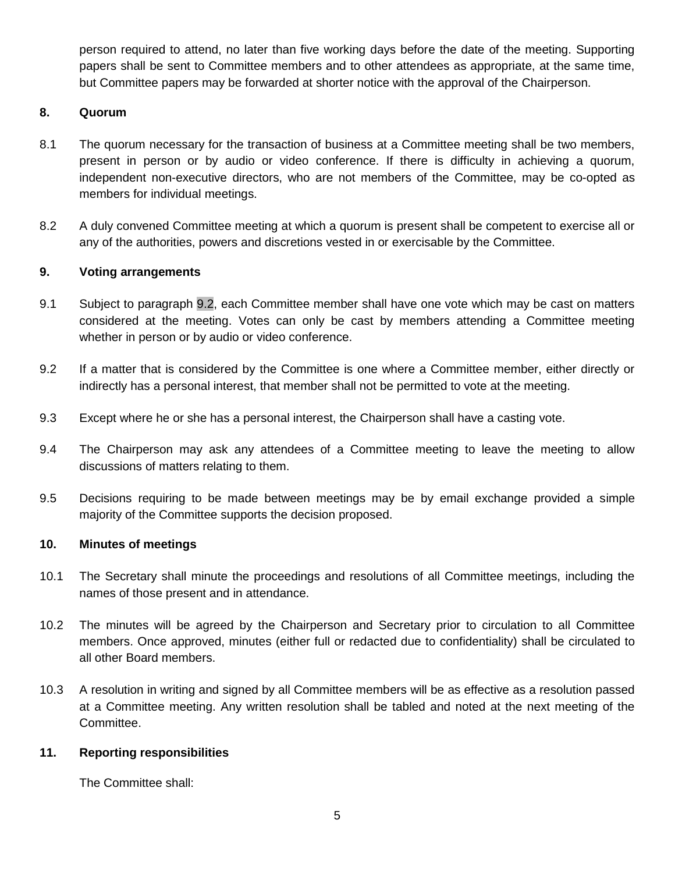person required to attend, no later than five working days before the date of the meeting. Supporting papers shall be sent to Committee members and to other attendees as appropriate, at the same time, but Committee papers may be forwarded at shorter notice with the approval of the Chairperson.

## **8. Quorum**

- 8.1 The quorum necessary for the transaction of business at a Committee meeting shall be two members, present in person or by audio or video conference. If there is difficulty in achieving a quorum, independent non-executive directors, who are not members of the Committee, may be co-opted as members for individual meetings.
- 8.2 A duly convened Committee meeting at which a quorum is present shall be competent to exercise all or any of the authorities, powers and discretions vested in or exercisable by the Committee.

## **9. Voting arrangements**

- 9.1 Subject to paragraph [9.2,](#page-4-0) each Committee member shall have one vote which may be cast on matters considered at the meeting. Votes can only be cast by members attending a Committee meeting whether in person or by audio or video conference.
- <span id="page-4-0"></span>9.2 If a matter that is considered by the Committee is one where a Committee member, either directly or indirectly has a personal interest, that member shall not be permitted to vote at the meeting.
- 9.3 Except where he or she has a personal interest, the Chairperson shall have a casting vote.
- 9.4 The Chairperson may ask any attendees of a Committee meeting to leave the meeting to allow discussions of matters relating to them.
- 9.5 Decisions requiring to be made between meetings may be by email exchange provided a simple majority of the Committee supports the decision proposed.

## **10. Minutes of meetings**

- 10.1 The Secretary shall minute the proceedings and resolutions of all Committee meetings, including the names of those present and in attendance.
- 10.2 The minutes will be agreed by the Chairperson and Secretary prior to circulation to all Committee members. Once approved, minutes (either full or redacted due to confidentiality) shall be circulated to all other Board members.
- 10.3 A resolution in writing and signed by all Committee members will be as effective as a resolution passed at a Committee meeting. Any written resolution shall be tabled and noted at the next meeting of the Committee.

## **11. Reporting responsibilities**

The Committee shall: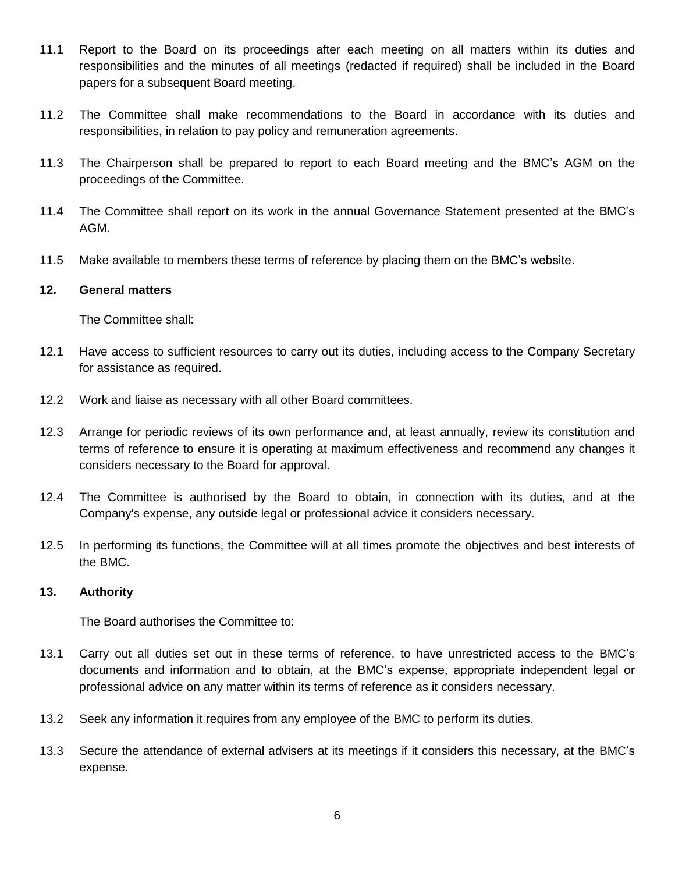- 11.1 Report to the Board on its proceedings after each meeting on all matters within its duties and responsibilities and the minutes of all meetings (redacted if required) shall be included in the Board papers for a subsequent Board meeting.
- 11.2 The Committee shall make recommendations to the Board in accordance with its duties and responsibilities, in relation to pay policy and remuneration agreements.
- 11.3 The Chairperson shall be prepared to report to each Board meeting and the BMC's AGM on the proceedings of the Committee.
- 11.4 The Committee shall report on its work in the annual Governance Statement presented at the BMC's AGM.
- 11.5 Make available to members these terms of reference by placing them on the BMC's website.

## **12. General matters**

The Committee shall:

- 12.1 Have access to sufficient resources to carry out its duties, including access to the Company Secretary for assistance as required.
- 12.2 Work and liaise as necessary with all other Board committees.
- 12.3 Arrange for periodic reviews of its own performance and, at least annually, review its constitution and terms of reference to ensure it is operating at maximum effectiveness and recommend any changes it considers necessary to the Board for approval.
- 12.4 The Committee is authorised by the Board to obtain, in connection with its duties, and at the Company's expense, any outside legal or professional advice it considers necessary.
- 12.5 In performing its functions, the Committee will at all times promote the objectives and best interests of the BMC.

## **13. Authority**

The Board authorises the Committee to:

- 13.1 Carry out all duties set out in these terms of reference, to have unrestricted access to the BMC's documents and information and to obtain, at the BMC's expense, appropriate independent legal or professional advice on any matter within its terms of reference as it considers necessary.
- 13.2 Seek any information it requires from any employee of the BMC to perform its duties.
- 13.3 Secure the attendance of external advisers at its meetings if it considers this necessary, at the BMC's expense.